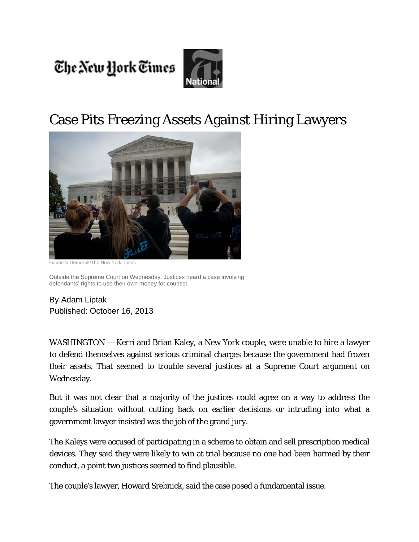The New York Times



## Case Pits Freezing Assets Against Hiring Lawyers



Gabriella Demczuk/The New York Times

Outside the Supreme Court on Wednesday. Justices heard a case involving defendants' rights to use their own money for counsel.

By Adam Liptak Published: October 16, 2013

WASHINGTON — Kerri and Brian Kaley, a New York couple, were unable to hire a lawyer to defend themselves against serious criminal charges because the government had frozen their assets. That seemed to trouble several justices at a Supreme Court argument on Wednesday.

But it was not clear that a majority of the justices could agree on a way to address the couple's situation without cutting back on earlier decisions or intruding into what a government lawyer insisted was the job of the grand jury.

The Kaleys were accused of participating in a scheme to obtain and sell prescription medical devices. They said they were likely to win at trial because no one had been harmed by their conduct, a point two justices seemed to find plausible.

The couple's lawyer, Howard Srebnick, said the case posed a fundamental issue.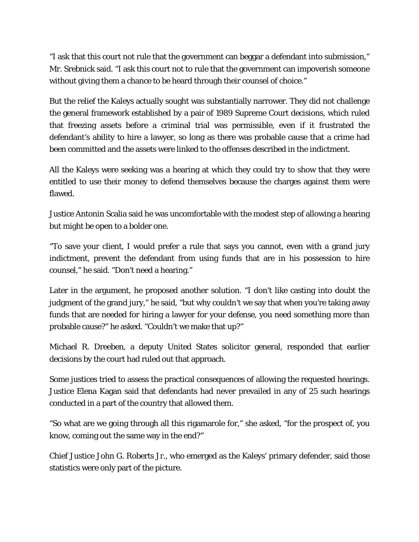"I ask that this court not rule that the government can beggar a defendant into submission," Mr. Srebnick said. "I ask this court not to rule that the government can impoverish someone without giving them a chance to be heard through their counsel of choice."

But the relief the Kaleys actually sought was substantially narrower. They did not challenge the general framework established by a pair of 1989 Supreme Court decisions, which ruled that freezing assets before a criminal trial was permissible, even if it frustrated the defendant's ability to hire a lawyer, so long as there was probable cause that a crime had been committed and the assets were linked to the offenses described in the indictment.

All the Kaleys were seeking was a hearing at which they could try to show that they were entitled to use their money to defend themselves because the charges against them were flawed.

Justice Antonin Scalia said he was uncomfortable with the modest step of allowing a hearing but might be open to a bolder one.

"To save your client, I would prefer a rule that says you cannot, even with a grand jury indictment, prevent the defendant from using funds that are in his possession to hire counsel," he said. "Don't need a hearing."

Later in the argument, he proposed another solution. "I don't like casting into doubt the judgment of the grand jury," he said, "but why couldn't we say that when you're taking away funds that are needed for hiring a lawyer for your defense, you need something more than probable cause?" he asked. "Couldn't we make that up?"

Michael R. Dreeben, a deputy United States solicitor general, responded that earlier decisions by the court had ruled out that approach.

Some justices tried to assess the practical consequences of allowing the requested hearings. Justice Elena Kagan said that defendants had never prevailed in any of 25 such hearings conducted in a part of the country that allowed them.

"So what are we going through all this rigamarole for," she asked, "for the prospect of, you know, coming out the same way in the end?"

Chief Justice John G. Roberts Jr., who emerged as the Kaleys' primary defender, said those statistics were only part of the picture.